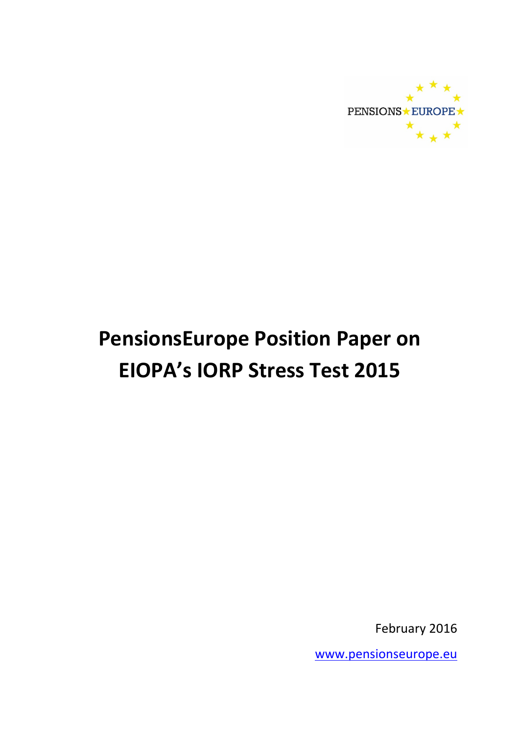

# PensionsEurope Position Paper on EIOPA's IORP Stress Test 2015

February 2016

[www.pensionseurope.eu](http://www.pensionseurope.eu)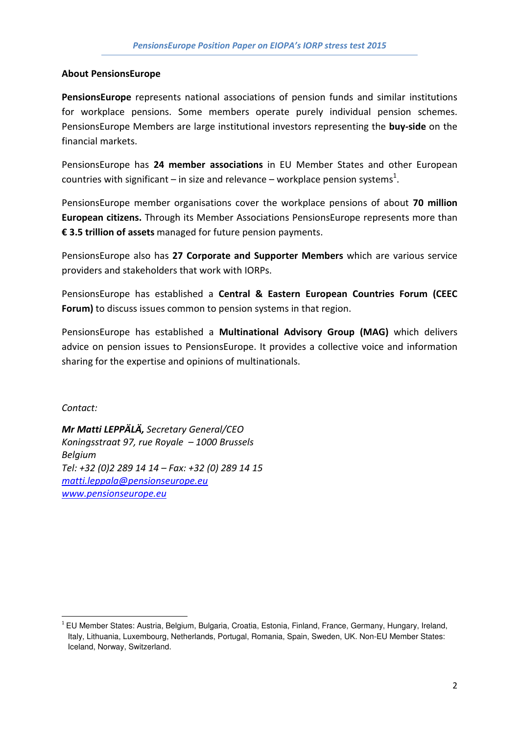#### About PensionsEurope

PensionsEurope represents national associations of pension funds and similar institutions for workplace pensions. Some members operate purely individual pension schemes. PensionsEurope Members are large institutional investors representing the buy-side on the financial markets.

PensionsEurope has 24 member associations in EU Member States and other European countries with significant – in size and relevance – workplace pension systems<sup>1</sup>.

PensionsEurope member organisations cover the workplace pensions of about 70 million European citizens. Through its Member Associations PensionsEurope represents more than € 3.5 trillion of assets managed for future pension payments.

PensionsEurope also has 27 Corporate and Supporter Members which are various service providers and stakeholders that work with IORPs.

PensionsEurope has established a Central & Eastern European Countries Forum (CEEC Forum) to discuss issues common to pension systems in that region.

PensionsEurope has established a Multinational Advisory Group (MAG) which delivers advice on pension issues to PensionsEurope. It provides a collective voice and information sharing for the expertise and opinions of multinationals.

Contact:

 $\overline{\phantom{a}}$ 

Mr Matti LEPPÄLÄ, Secretary General/CEO Koningsstraat 97, rue Royale – 1000 Brussels Belgium Tel: +32 (0)2 289 14 14 – Fax: +32 (0) 289 14 15 matti.leppala@pensionseurope.eu [www.pensionseurope.eu](http://www.pensionseurope.eu)

<sup>&</sup>lt;sup>1</sup> EU Member States: Austria, Belgium, Bulgaria, Croatia, Estonia, Finland, France, Germany, Hungary, Ireland, Italy, Lithuania, Luxembourg, Netherlands, Portugal, Romania, Spain, Sweden, UK. Non-EU Member States: Iceland, Norway, Switzerland.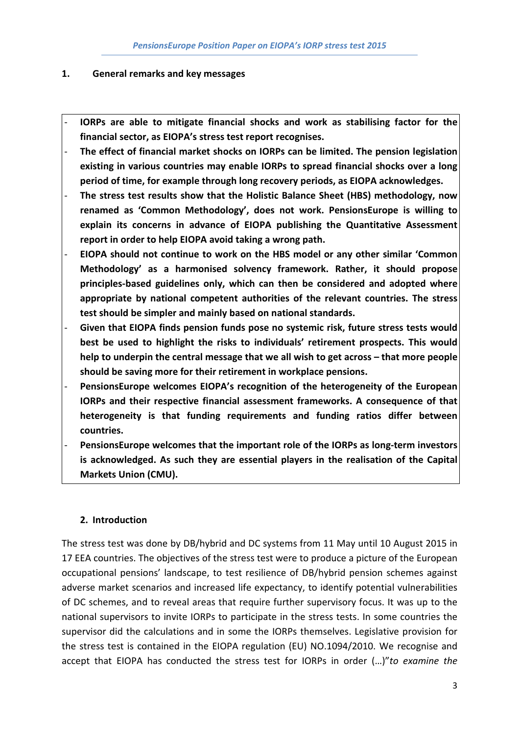#### 1. General remarks and key messages

- IORPs are able to mitigate financial shocks and work as stabilising factor for the financial sector, as EIOPA's stress test report recognises.
- The effect of financial market shocks on IORPs can be limited. The pension legislation existing in various countries may enable IORPs to spread financial shocks over a long period of time, for example through long recovery periods, as EIOPA acknowledges.
- The stress test results show that the Holistic Balance Sheet (HBS) methodology, now renamed as 'Common Methodology', does not work. PensionsEurope is willing to explain its concerns in advance of EIOPA publishing the Quantitative Assessment report in order to help EIOPA avoid taking a wrong path.
- EIOPA should not continue to work on the HBS model or any other similar 'Common Methodology' as a harmonised solvency framework. Rather, it should propose principles-based guidelines only, which can then be considered and adopted where appropriate by national competent authorities of the relevant countries. The stress test should be simpler and mainly based on national standards.
- Given that EIOPA finds pension funds pose no systemic risk, future stress tests would best be used to highlight the risks to individuals' retirement prospects. This would help to underpin the central message that we all wish to get across – that more people should be saving more for their retirement in workplace pensions.
- PensionsEurope welcomes EIOPA's recognition of the heterogeneity of the European IORPs and their respective financial assessment frameworks. A consequence of that heterogeneity is that funding requirements and funding ratios differ between countries.
- PensionsEurope welcomes that the important role of the IORPs as long-term investors is acknowledged. As such they are essential players in the realisation of the Capital Markets Union (CMU).

## 2. Introduction

The stress test was done by DB/hybrid and DC systems from 11 May until 10 August 2015 in 17 EEA countries. The objectives of the stress test were to produce a picture of the European occupational pensions' landscape, to test resilience of DB/hybrid pension schemes against adverse market scenarios and increased life expectancy, to identify potential vulnerabilities of DC schemes, and to reveal areas that require further supervisory focus. It was up to the national supervisors to invite IORPs to participate in the stress tests. In some countries the supervisor did the calculations and in some the IORPs themselves. Legislative provision for the stress test is contained in the EIOPA regulation (EU) NO.1094/2010. We recognise and accept that EIOPA has conducted the stress test for IORPs in order (…)"to examine the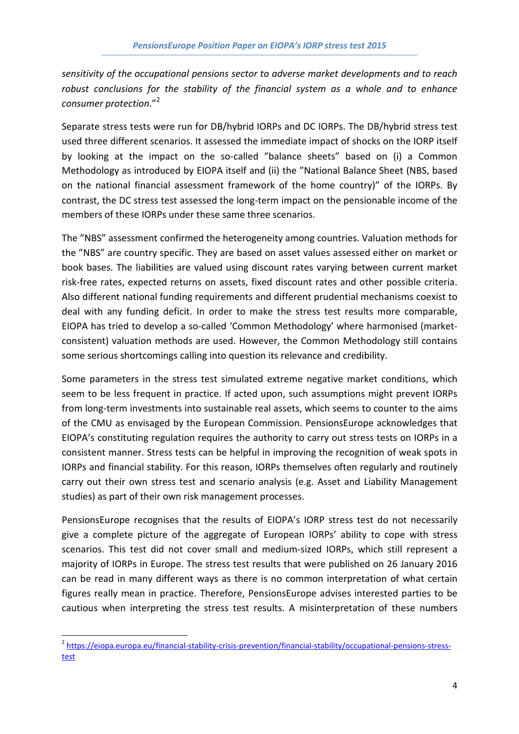sensitivity of the occupational pensions sector to adverse market developments and to reach robust conclusions for the stability of the financial system as a whole and to enhance consumer protection."<sup>2</sup>

Separate stress tests were run for DB/hybrid IORPs and DC IORPs. The DB/hybrid stress test used three different scenarios. It assessed the immediate impact of shocks on the IORP itself by looking at the impact on the so-called "balance sheets" based on (i) a Common Methodology as introduced by EIOPA itself and (ii) the "National Balance Sheet (NBS, based on the national financial assessment framework of the home country)" of the IORPs. By contrast, the DC stress test assessed the long-term impact on the pensionable income of the members of these IORPs under these same three scenarios.

The "NBS" assessment confirmed the heterogeneity among countries. Valuation methods for the "NBS" are country specific. They are based on asset values assessed either on market or book bases. The liabilities are valued using discount rates varying between current market risk-free rates, expected returns on assets, fixed discount rates and other possible criteria. Also different national funding requirements and different prudential mechanisms coexist to deal with any funding deficit. In order to make the stress test results more comparable, EIOPA has tried to develop a so-called 'Common Methodology' where harmonised (marketconsistent) valuation methods are used. However, the Common Methodology still contains some serious shortcomings calling into question its relevance and credibility.

Some parameters in the stress test simulated extreme negative market conditions, which seem to be less frequent in practice. If acted upon, such assumptions might prevent IORPs from long-term investments into sustainable real assets, which seems to counter to the aims of the CMU as envisaged by the European Commission. PensionsEurope acknowledges that EIOPA's constituting regulation requires the authority to carry out stress tests on IORPs in a consistent manner. Stress tests can be helpful in improving the recognition of weak spots in IORPs and financial stability. For this reason, IORPs themselves often regularly and routinely carry out their own stress test and scenario analysis (e.g. Asset and Liability Management studies) as part of their own risk management processes.

PensionsEurope recognises that the results of EIOPA's IORP stress test do not necessarily give a complete picture of the aggregate of European IORPs' ability to cope with stress scenarios. This test did not cover small and medium-sized IORPs, which still represent a majority of IORPs in Europe. The stress test results that were published on 26 January 2016 can be read in many different ways as there is no common interpretation of what certain figures really mean in practice. Therefore, PensionsEurope advises interested parties to be cautious when interpreting the stress test results. A misinterpretation of these numbers

l

<sup>&</sup>lt;sup>2</sup> [https://eiopa.europa.eu/financial-stability-crisis-prevention/financial-stability/occupational-pensions-stress](https://eiopa.europa.eu/financial-stability-crisis-prevention/financial-stability/occupational-pensions-stress-test )test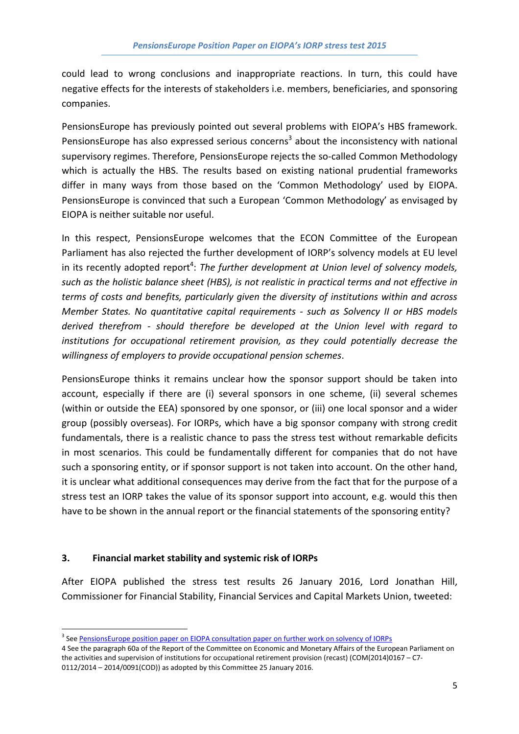could lead to wrong conclusions and inappropriate reactions. In turn, this could have negative effects for the interests of stakeholders i.e. members, beneficiaries, and sponsoring companies.

PensionsEurope has previously pointed out several problems with EIOPA's HBS framework. PensionsEurope has also expressed serious concerns<sup>3</sup> about the inconsistency with national supervisory regimes. Therefore, PensionsEurope rejects the so-called Common Methodology which is actually the HBS. The results based on existing national prudential frameworks differ in many ways from those based on the 'Common Methodology' used by EIOPA. PensionsEurope is convinced that such a European 'Common Methodology' as envisaged by EIOPA is neither suitable nor useful.

In this respect, PensionsEurope welcomes that the ECON Committee of the European Parliament has also rejected the further development of IORP's solvency models at EU level in its recently adopted report<sup>4</sup>: The further development at Union level of solvency models, such as the holistic balance sheet (HBS), is not realistic in practical terms and not effective in terms of costs and benefits, particularly given the diversity of institutions within and across Member States. No quantitative capital requirements - such as Solvency II or HBS models derived therefrom - should therefore be developed at the Union level with regard to institutions for occupational retirement provision, as they could potentially decrease the willingness of employers to provide occupational pension schemes.

PensionsEurope thinks it remains unclear how the sponsor support should be taken into account, especially if there are (i) several sponsors in one scheme, (ii) several schemes (within or outside the EEA) sponsored by one sponsor, or (iii) one local sponsor and a wider group (possibly overseas). For IORPs, which have a big sponsor company with strong credit fundamentals, there is a realistic chance to pass the stress test without remarkable deficits in most scenarios. This could be fundamentally different for companies that do not have such a sponsoring entity, or if sponsor support is not taken into account. On the other hand, it is unclear what additional consequences may derive from the fact that for the purpose of a stress test an IORP takes the value of its sponsor support into account, e.g. would this then have to be shown in the annual report or the financial statements of the sponsoring entity?

## 3. Financial market stability and systemic risk of IORPs

After EIOPA published the stress test results 26 January 2016, Lord Jonathan Hill, Commissioner for Financial Stability, Financial Services and Capital Markets Union, tweeted:

<sup>&</sup>lt;sup>3</sup> See PensionsEurope position paper on EIOPA consultation paper on further work on solvency of IORPs

<sup>4</sup> See the paragraph 60a of the Report of the Committee on Economic and Monetary Affairs of the European Parliament on the activities and supervision of institutions for occupational retirement provision (recast) (COM(2014)0167 – C7- 0112/2014 – 2014/0091(COD)) as adopted by this Committee 25 January 2016.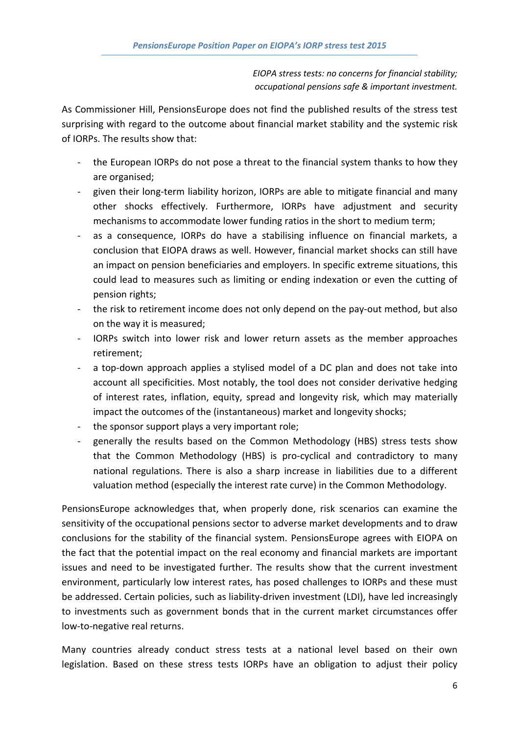EIOPA stress tests: no concerns for financial stability; occupational pensions safe & important investment.

As Commissioner Hill, PensionsEurope does not find the published results of the stress test surprising with regard to the outcome about financial market stability and the systemic risk of IORPs. The results show that:

- the European IORPs do not pose a threat to the financial system thanks to how they are organised;
- given their long-term liability horizon, IORPs are able to mitigate financial and many other shocks effectively. Furthermore, IORPs have adjustment and security mechanisms to accommodate lower funding ratios in the short to medium term;
- as a consequence, IORPs do have a stabilising influence on financial markets, a conclusion that EIOPA draws as well. However, financial market shocks can still have an impact on pension beneficiaries and employers. In specific extreme situations, this could lead to measures such as limiting or ending indexation or even the cutting of pension rights;
- the risk to retirement income does not only depend on the pay-out method, but also on the way it is measured;
- IORPs switch into lower risk and lower return assets as the member approaches retirement;
- a top-down approach applies a stylised model of a DC plan and does not take into account all specificities. Most notably, the tool does not consider derivative hedging of interest rates, inflation, equity, spread and longevity risk, which may materially impact the outcomes of the (instantaneous) market and longevity shocks;
- the sponsor support plays a very important role;
- generally the results based on the Common Methodology (HBS) stress tests show that the Common Methodology (HBS) is pro-cyclical and contradictory to many national regulations. There is also a sharp increase in liabilities due to a different valuation method (especially the interest rate curve) in the Common Methodology.

PensionsEurope acknowledges that, when properly done, risk scenarios can examine the sensitivity of the occupational pensions sector to adverse market developments and to draw conclusions for the stability of the financial system. PensionsEurope agrees with EIOPA on the fact that the potential impact on the real economy and financial markets are important issues and need to be investigated further. The results show that the current investment environment, particularly low interest rates, has posed challenges to IORPs and these must be addressed. Certain policies, such as liability-driven investment (LDI), have led increasingly to investments such as government bonds that in the current market circumstances offer low-to-negative real returns.

Many countries already conduct stress tests at a national level based on their own legislation. Based on these stress tests IORPs have an obligation to adjust their policy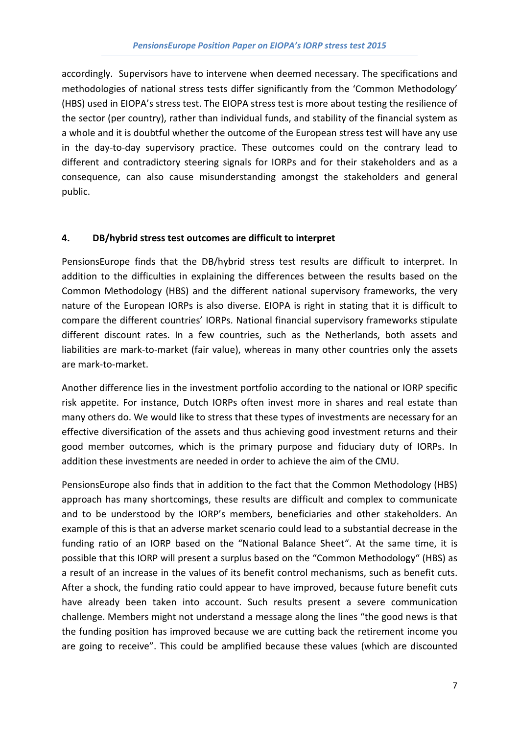accordingly. Supervisors have to intervene when deemed necessary. The specifications and methodologies of national stress tests differ significantly from the 'Common Methodology' (HBS) used in EIOPA's stress test. The EIOPA stress test is more about testing the resilience of the sector (per country), rather than individual funds, and stability of the financial system as a whole and it is doubtful whether the outcome of the European stress test will have any use in the day-to-day supervisory practice. These outcomes could on the contrary lead to different and contradictory steering signals for IORPs and for their stakeholders and as a consequence, can also cause misunderstanding amongst the stakeholders and general public.

## 4. DB/hybrid stress test outcomes are difficult to interpret

PensionsEurope finds that the DB/hybrid stress test results are difficult to interpret. In addition to the difficulties in explaining the differences between the results based on the Common Methodology (HBS) and the different national supervisory frameworks, the very nature of the European IORPs is also diverse. EIOPA is right in stating that it is difficult to compare the different countries' IORPs. National financial supervisory frameworks stipulate different discount rates. In a few countries, such as the Netherlands, both assets and liabilities are mark-to-market (fair value), whereas in many other countries only the assets are mark-to-market.

Another difference lies in the investment portfolio according to the national or IORP specific risk appetite. For instance, Dutch IORPs often invest more in shares and real estate than many others do. We would like to stress that these types of investments are necessary for an effective diversification of the assets and thus achieving good investment returns and their good member outcomes, which is the primary purpose and fiduciary duty of IORPs. In addition these investments are needed in order to achieve the aim of the CMU.

PensionsEurope also finds that in addition to the fact that the Common Methodology (HBS) approach has many shortcomings, these results are difficult and complex to communicate and to be understood by the IORP's members, beneficiaries and other stakeholders. An example of this is that an adverse market scenario could lead to a substantial decrease in the funding ratio of an IORP based on the "National Balance Sheet". At the same time, it is possible that this IORP will present a surplus based on the "Common Methodology" (HBS) as a result of an increase in the values of its benefit control mechanisms, such as benefit cuts. After a shock, the funding ratio could appear to have improved, because future benefit cuts have already been taken into account. Such results present a severe communication challenge. Members might not understand a message along the lines "the good news is that the funding position has improved because we are cutting back the retirement income you are going to receive". This could be amplified because these values (which are discounted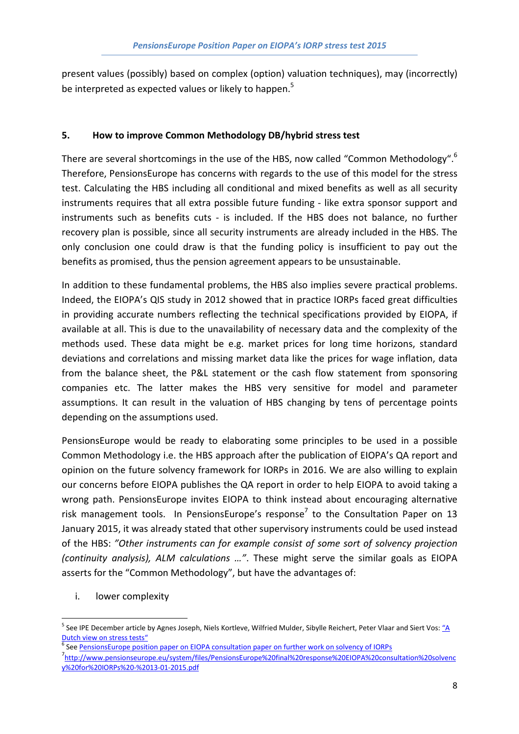present values (possibly) based on complex (option) valuation techniques), may (incorrectly) be interpreted as expected values or likely to happen.<sup>5</sup>

# 5. How to improve Common Methodology DB/hybrid stress test

There are several shortcomings in the use of the HBS, now called "Common Methodology".<sup>6</sup> Therefore, PensionsEurope has concerns with regards to the use of this model for the stress test. Calculating the HBS including all conditional and mixed benefits as well as all security instruments requires that all extra possible future funding - like extra sponsor support and instruments such as benefits cuts - is included. If the HBS does not balance, no further recovery plan is possible, since all security instruments are already included in the HBS. The only conclusion one could draw is that the funding policy is insufficient to pay out the benefits as promised, thus the pension agreement appears to be unsustainable.

In addition to these fundamental problems, the HBS also implies severe practical problems. Indeed, the EIOPA's QIS study in 2012 showed that in practice IORPs faced great difficulties in providing accurate numbers reflecting the technical specifications provided by EIOPA, if available at all. This is due to the unavailability of necessary data and the complexity of the methods used. These data might be e.g. market prices for long time horizons, standard deviations and correlations and missing market data like the prices for wage inflation, data from the balance sheet, the P&L statement or the cash flow statement from sponsoring companies etc. The latter makes the HBS very sensitive for model and parameter assumptions. It can result in the valuation of HBS changing by tens of percentage points depending on the assumptions used.

PensionsEurope would be ready to elaborating some principles to be used in a possible Common Methodology i.e. the HBS approach after the publication of EIOPA's QA report and opinion on the future solvency framework for IORPs in 2016. We are also willing to explain our concerns before EIOPA publishes the QA report in order to help EIOPA to avoid taking a wrong path. PensionsEurope invites EIOPA to think instead about encouraging alternative risk management tools. In PensionsEurope's response<sup>7</sup> to the Consultation Paper on 13 January 2015, it was already stated that other supervisory instruments could be used instead of the HBS: "Other instruments can for example consist of some sort of solvency projection (continuity analysis), ALM calculations …". These might serve the similar goals as EIOPA asserts for the "Common Methodology", but have the advantages of:

i. lower complexity

l

<sup>&</sup>lt;sup>5</sup> See IPE December article by Agnes Joseph, Niels Kortleve, Wilfried Mulder, Sibylle Reichert, Peter Vlaar and Siert Vos: <u>"A</u> [Dutch view on stress tests"](http://www.ipe.com/pensions/pensions/briefing/eiopa-a-dutch-view-on-stress-tests/10011307.article)

<sup>&</sup>lt;sup>6</sup> See <u>PensionsEurope position paper on EIOPA consultation paper on further work on solvency of IORPs</u>

<sup>7</sup> [http://www.pensionseurope.eu/system/files/PensionsEurope%20final%20response%20EIOPA%20consultation%20solvenc](http://www.pensionseurope.eu/system/files/PensionsEurope final response EIOPA consultation solvency for IORPs - 13-01-2015.pdf) y%20for%20IORPs%20-%2013-01-2015.pdf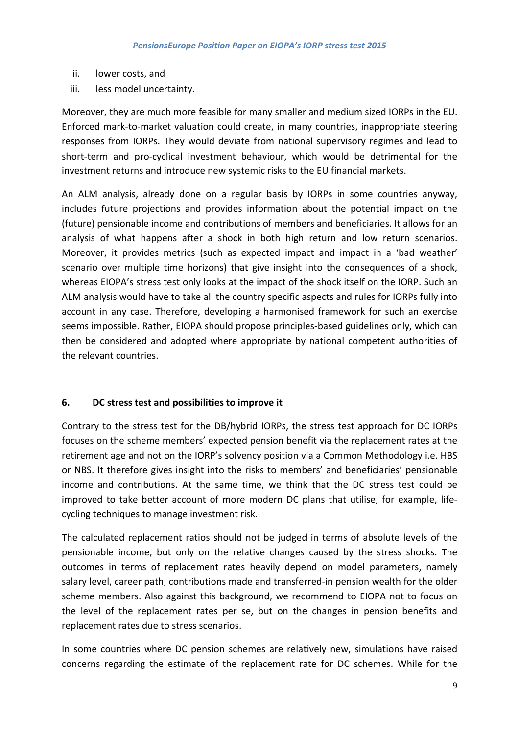- ii. lower costs, and
- iii. less model uncertainty.

Moreover, they are much more feasible for many smaller and medium sized IORPs in the EU. Enforced mark-to-market valuation could create, in many countries, inappropriate steering responses from IORPs. They would deviate from national supervisory regimes and lead to short-term and pro-cyclical investment behaviour, which would be detrimental for the investment returns and introduce new systemic risks to the EU financial markets.

An ALM analysis, already done on a regular basis by IORPs in some countries anyway, includes future projections and provides information about the potential impact on the (future) pensionable income and contributions of members and beneficiaries. It allows for an analysis of what happens after a shock in both high return and low return scenarios. Moreover, it provides metrics (such as expected impact and impact in a 'bad weather' scenario over multiple time horizons) that give insight into the consequences of a shock, whereas EIOPA's stress test only looks at the impact of the shock itself on the IORP. Such an ALM analysis would have to take all the country specific aspects and rules for IORPs fully into account in any case. Therefore, developing a harmonised framework for such an exercise seems impossible. Rather, EIOPA should propose principles-based guidelines only, which can then be considered and adopted where appropriate by national competent authorities of the relevant countries.

# 6. DC stress test and possibilities to improve it

Contrary to the stress test for the DB/hybrid IORPs, the stress test approach for DC IORPs focuses on the scheme members' expected pension benefit via the replacement rates at the retirement age and not on the IORP's solvency position via a Common Methodology i.e. HBS or NBS. It therefore gives insight into the risks to members' and beneficiaries' pensionable income and contributions. At the same time, we think that the DC stress test could be improved to take better account of more modern DC plans that utilise, for example, lifecycling techniques to manage investment risk.

The calculated replacement ratios should not be judged in terms of absolute levels of the pensionable income, but only on the relative changes caused by the stress shocks. The outcomes in terms of replacement rates heavily depend on model parameters, namely salary level, career path, contributions made and transferred-in pension wealth for the older scheme members. Also against this background, we recommend to EIOPA not to focus on the level of the replacement rates per se, but on the changes in pension benefits and replacement rates due to stress scenarios.

In some countries where DC pension schemes are relatively new, simulations have raised concerns regarding the estimate of the replacement rate for DC schemes. While for the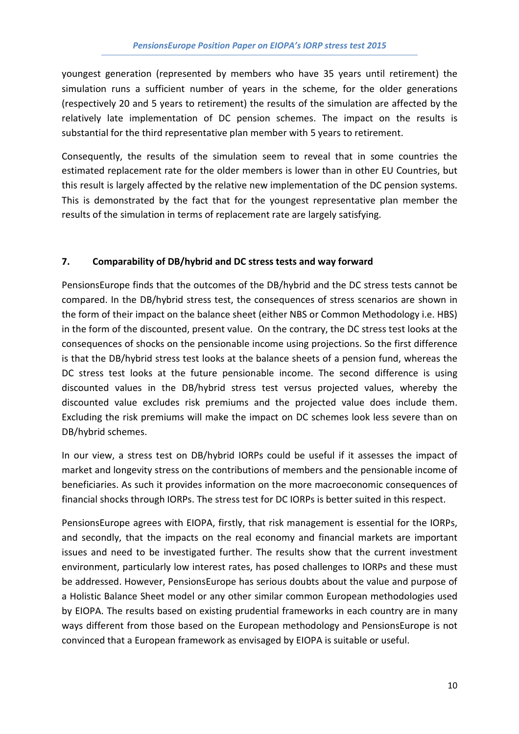youngest generation (represented by members who have 35 years until retirement) the simulation runs a sufficient number of years in the scheme, for the older generations (respectively 20 and 5 years to retirement) the results of the simulation are affected by the relatively late implementation of DC pension schemes. The impact on the results is substantial for the third representative plan member with 5 years to retirement.

Consequently, the results of the simulation seem to reveal that in some countries the estimated replacement rate for the older members is lower than in other EU Countries, but this result is largely affected by the relative new implementation of the DC pension systems. This is demonstrated by the fact that for the youngest representative plan member the results of the simulation in terms of replacement rate are largely satisfying.

# 7. Comparability of DB/hybrid and DC stress tests and way forward

PensionsEurope finds that the outcomes of the DB/hybrid and the DC stress tests cannot be compared. In the DB/hybrid stress test, the consequences of stress scenarios are shown in the form of their impact on the balance sheet (either NBS or Common Methodology i.e. HBS) in the form of the discounted, present value. On the contrary, the DC stress test looks at the consequences of shocks on the pensionable income using projections. So the first difference is that the DB/hybrid stress test looks at the balance sheets of a pension fund, whereas the DC stress test looks at the future pensionable income. The second difference is using discounted values in the DB/hybrid stress test versus projected values, whereby the discounted value excludes risk premiums and the projected value does include them. Excluding the risk premiums will make the impact on DC schemes look less severe than on DB/hybrid schemes.

In our view, a stress test on DB/hybrid IORPs could be useful if it assesses the impact of market and longevity stress on the contributions of members and the pensionable income of beneficiaries. As such it provides information on the more macroeconomic consequences of financial shocks through IORPs. The stress test for DC IORPs is better suited in this respect.

PensionsEurope agrees with EIOPA, firstly, that risk management is essential for the IORPs, and secondly, that the impacts on the real economy and financial markets are important issues and need to be investigated further. The results show that the current investment environment, particularly low interest rates, has posed challenges to IORPs and these must be addressed. However, PensionsEurope has serious doubts about the value and purpose of a Holistic Balance Sheet model or any other similar common European methodologies used by EIOPA. The results based on existing prudential frameworks in each country are in many ways different from those based on the European methodology and PensionsEurope is not convinced that a European framework as envisaged by EIOPA is suitable or useful.